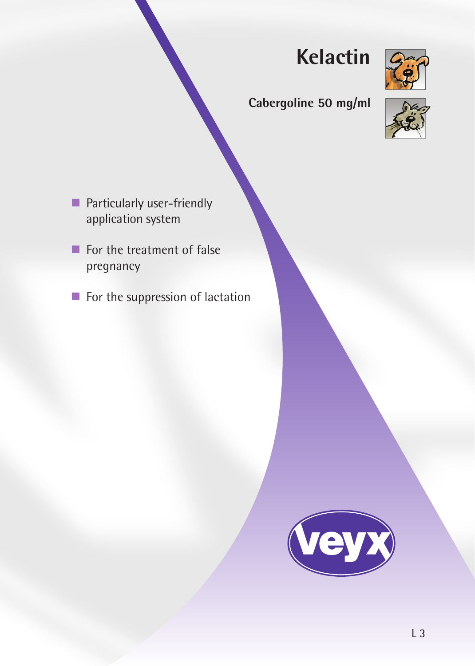# **Kelactin**



# **Cabergoline 50 mg/ml**



- **Particularly user-friendly** application system
- For the treatment of false pregnancy
- $\blacksquare$  For the suppression of lactation

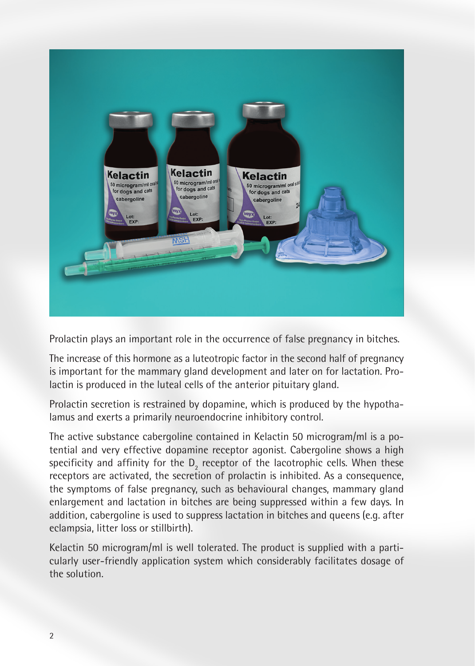

Prolactin plays an important role in the occurrence of false pregnancy in bitches.

The increase of this hormone as a luteotropic factor in the second half of pregnancy is important for the mammary gland development and later on for lactation. Prolactin is produced in the luteal cells of the anterior pituitary gland.

Prolactin secretion is restrained by dopamine, which is produced by the hypothalamus and exerts a primarily neuroendocrine inhibitory control.

The active substance cabergoline contained in Kelactin 50 microgram/ml is a potential and very effective dopamine receptor agonist. Cabergoline shows a high specificity and affinity for the  $D_2$  receptor of the lacotrophic cells. When these receptors are activated, the secretion of prolactin is inhibited. As a consequence, the symptoms of false pregnancy, such as behavioural changes, mammary gland enlargement and lactation in bitches are being suppressed within a few days. In addition, cabergoline is used to suppress lactation in bitches and queens (e.g. after eclampsia, litter loss or stillbirth).

Kelactin 50 microgram/ml is well tolerated. The product is supplied with a particularly user-friendly application system which considerably facilitates dosage of the solution.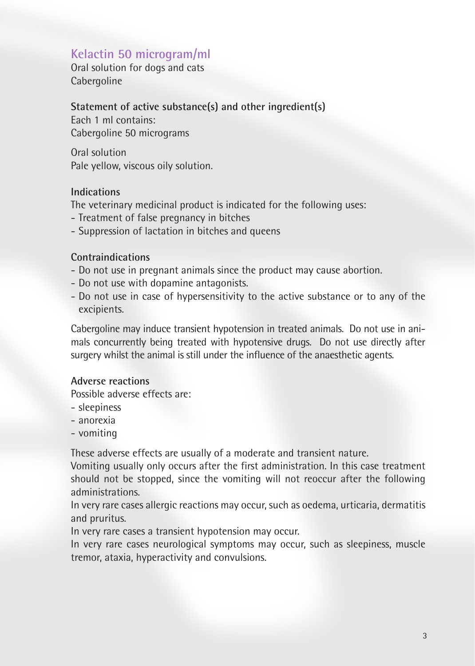# **Kelactin 50 microgram/ml**

Oral solution for dogs and cats Cabergoline

#### **Statement of active substance(s) and other ingredient(s)**

Each 1 ml contains: Cabergoline 50 micrograms

Oral solution Pale yellow, viscous oily solution.

#### **Indications**

The veterinary medicinal product is indicated for the following uses:

- Treatment of false pregnancy in bitches
- Suppression of lactation in bitches and queens

#### **Contraindications**

- Do not use in pregnant animals since the product may cause abortion.
- Do not use with dopamine antagonists.
- Do not use in case of hypersensitivity to the active substance or to any of the excipients.

Cabergoline may induce transient hypotension in treated animals. Do not use in animals concurrently being treated with hypotensive drugs. Do not use directly after surgery whilst the animal is still under the influence of the anaesthetic agents.

## **Adverse reactions**

Possible adverse effects are:

- sleepiness
- anorexia
- vomiting

These adverse effects are usually of a moderate and transient nature.

Vomiting usually only occurs after the first administration. In this case treatment should not be stopped, since the vomiting will not reoccur after the following administrations.

In very rare cases allergic reactions may occur, such as oedema, urticaria, dermatitis and pruritus.

In very rare cases a transient hypotension may occur.

In very rare cases neurological symptoms may occur, such as sleepiness, muscle tremor, ataxia, hyperactivity and convulsions.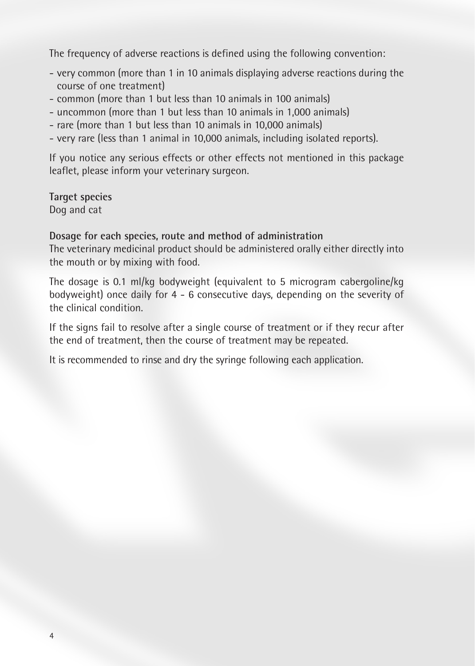The frequency of adverse reactions is defined using the following convention:

- very common (more than 1 in 10 animals displaying adverse reactions during the course of one treatment)
- common (more than 1 but less than 10 animals in 100 animals)
- uncommon (more than 1 but less than 10 animals in 1,000 animals)
- rare (more than 1 but less than 10 animals in 10,000 animals)
- very rare (less than 1 animal in 10,000 animals, including isolated reports).

If you notice any serious effects or other effects not mentioned in this package leaflet, please inform your veterinary surgeon.

**Target species** Dog and cat

#### **Dosage for each species, route and method of administration**

The veterinary medicinal product should be administered orally either directly into the mouth or by mixing with food.

The dosage is 0.1 ml/kg bodyweight (equivalent to 5 microgram cabergoline/kg bodyweight) once daily for 4 - 6 consecutive days, depending on the severity of the clinical condition.

If the signs fail to resolve after a single course of treatment or if they recur after the end of treatment, then the course of treatment may be repeated.

It is recommended to rinse and dry the syringe following each application.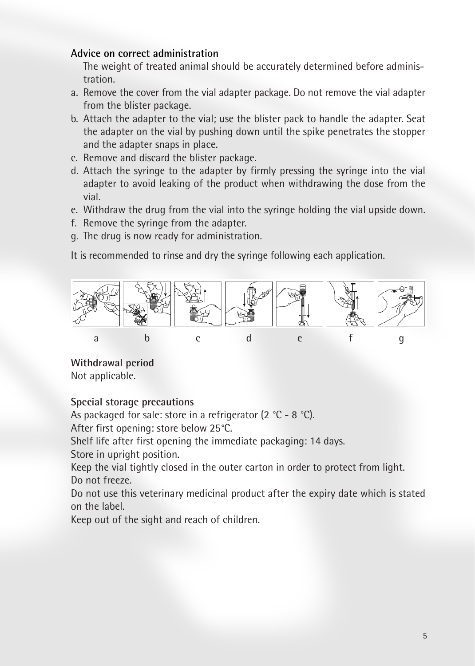### **Advice on correct administration**

The weight of treated animal should be accurately determined before administration.

- a. Remove the cover from the vial adapter package. Do not remove the vial adapter from the blister package.
- b. Attach the adapter to the vial; use the blister pack to handle the adapter. Seat the adapter on the vial by pushing down until the spike penetrates the stopper and the adapter snaps in place.
- c. Remove and discard the blister package.
- d. Attach the syringe to the adapter by firmly pressing the syringe into the vial adapter to avoid leaking of the product when withdrawing the dose from the vial.
- e. Withdraw the drug from the vial into the syringe holding the vial upside down.
- f. Remove the syringe from the adapter.
- g. The drug is now ready for administration.

It is recommended to rinse and dry the syringe following each application.



**Withdrawal period** Not applicable.

# **Special storage precautions**

As packaged for sale: store in a refrigerator (2 °C - 8 °C).

After first opening: store below 25°C.

Shelf life after first opening the immediate packaging: 14 days. Store in upright position.

Keep the vial tightly closed in the outer carton in order to protect from light. Do not freeze.

Do not use this veterinary medicinal product after the expiry date which is stated on the label.

Keep out of the sight and reach of children.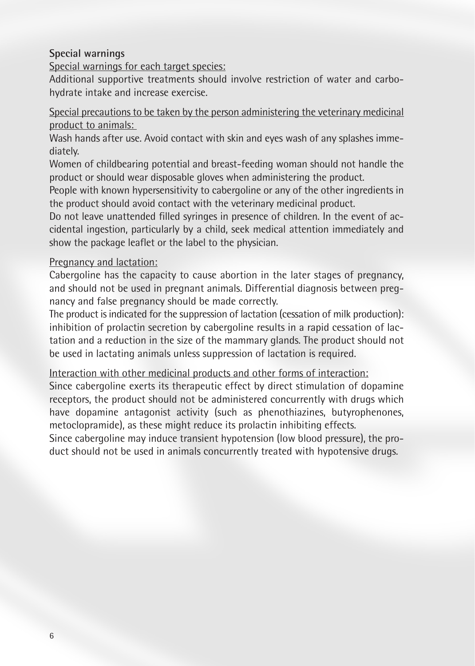#### **Special warnings**

Special warnings for each target species:

Additional supportive treatments should involve restriction of water and carbohydrate intake and increase exercise.

Special precautions to be taken by the person administering the veterinary medicinal product to animals:

Wash hands after use. Avoid contact with skin and eyes wash of any splashes immediately.

Women of childbearing potential and breast-feeding woman should not handle the product or should wear disposable gloves when administering the product.

People with known hypersensitivity to cabergoline or any of the other ingredients in the product should avoid contact with the veterinary medicinal product.

Do not leave unattended filled syringes in presence of children. In the event of accidental ingestion, particularly by a child, seek medical attention immediately and show the package leaflet or the label to the physician.

#### Pregnancy and lactation:

Cabergoline has the capacity to cause abortion in the later stages of pregnancy, and should not be used in pregnant animals. Differential diagnosis between pregnancy and false pregnancy should be made correctly.

The product is indicated for the suppression of lactation (cessation of milk production): inhibition of prolactin secretion by cabergoline results in a rapid cessation of lactation and a reduction in the size of the mammary glands. The product should not be used in lactating animals unless suppression of lactation is required.

Interaction with other medicinal products and other forms of interaction:

Since cabergoline exerts its therapeutic effect by direct stimulation of dopamine receptors, the product should not be administered concurrently with drugs which have dopamine antagonist activity (such as phenothiazines, butyrophenones, metoclopramide), as these might reduce its prolactin inhibiting effects.

Since cabergoline may induce transient hypotension (low blood pressure), the product should not be used in animals concurrently treated with hypotensive drugs.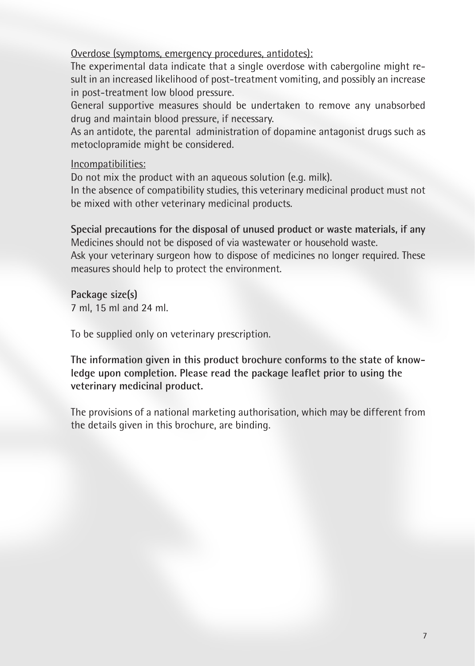Overdose (symptoms, emergency procedures, antidotes):

The experimental data indicate that a single overdose with cabergoline might result in an increased likelihood of post-treatment vomiting, and possibly an increase in post-treatment low blood pressure.

General supportive measures should be undertaken to remove any unabsorbed drug and maintain blood pressure, if necessary.

As an antidote, the parental administration of dopamine antagonist drugs such as metoclopramide might be considered.

Incompatibilities:

Do not mix the product with an aqueous solution (e.g. milk).

In the absence of compatibility studies, this veterinary medicinal product must not be mixed with other veterinary medicinal products.

**Special precautions for the disposal of unused product or waste materials, if any** Medicines should not be disposed of via wastewater or household waste.

Ask your veterinary surgeon how to dispose of medicines no longer required. These measures should help to protect the environment.

**Package size(s)** 7 ml, 15 ml and 24 ml.

To be supplied only on veterinary prescription.

**The information given in this product brochure conforms to the state of knowledge upon completion. Please read the package leaflet prior to using the veterinary medicinal product.**

The provisions of a national marketing authorisation, which may be different from the details given in this brochure, are binding.